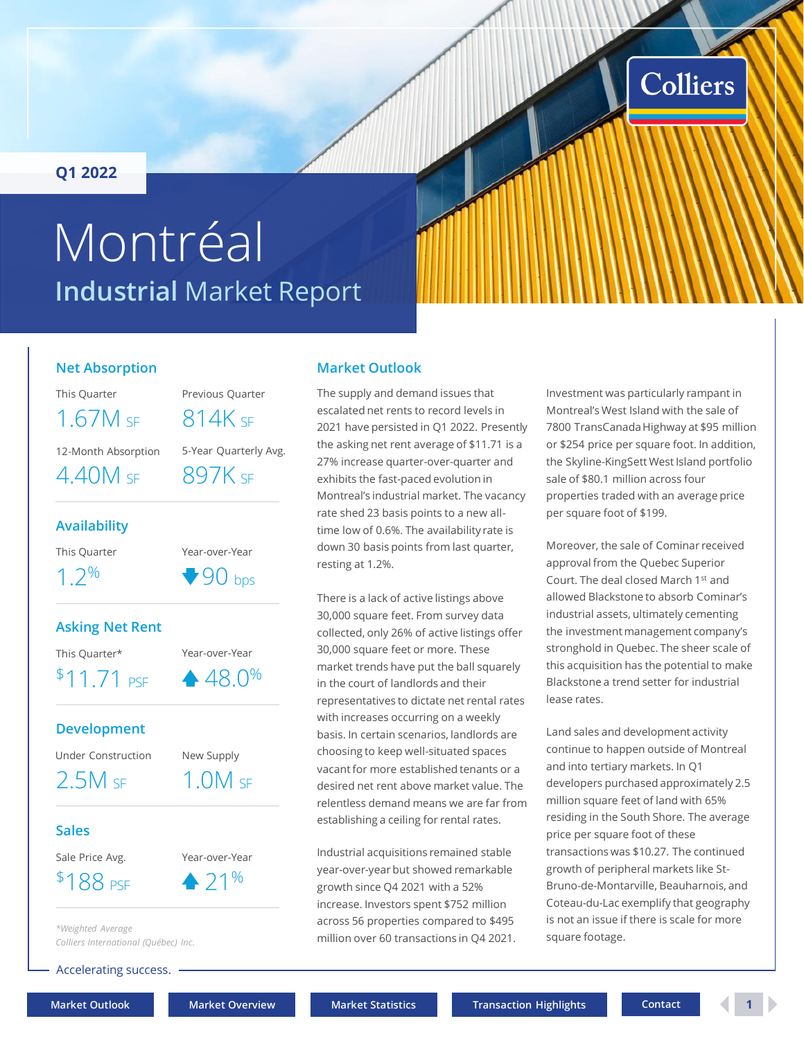### <span id="page-0-0"></span>**Q1 2022**

# **Industrial** Market Report Montréal

### **Net Absorption**

This Quarter Previous Quarter

12-Month Absorption 5-Year Quarterly Avg.

 $1.67M$  sf  $814K$  sf

 $4.40M$  SF  $897K$  SF

#### **Availability**

This Quarter **Year-over-Year** 

 $1.2\%$   $\bullet$  90 bps

### **Asking Net Rent**

This Quarter\* Year-over-Year

\$11.71 PSF

### **Development**

Under Construction New Supply

2.5M SF 1.0M SF

 $48.0%$ 

#### **Sales**

- Sale Price Avg. Year-over-Year
- $$188 \text{ pSE} \qquad \qquad 21\%$

*\*Weighted Average Colliers International (Québec) Inc.*

Accelerating success.

**[Market Outlook](#page-0-0) [Market Overview](#page-1-0) [Market Statistics](#page-2-0) [Transaction Highlights](#page-3-0) [Contact](#page-4-0) 1**

# **Market Outlook**

The supply and demand issues that escalated net rents to record levels in 2021 have persisted in Q1 2022. Presently the asking net rent average of \$11.71 is a 27% increase quarter-over-quarter and exhibits the fast-paced evolution in Montreal's industrial market. The vacancy rate shed 23 basis points to a new alltime low of 0.6%. The availability rate is down 30 basis points from last quarter, resting at 1.2%.

There is a lack of active listings above 30,000 square feet. From survey data collected, only 26% of active listings offer 30,000 square feet or more. These market trends have put the ball squarely in the court of landlords and their representatives to dictate net rental rates with increases occurring on a weekly basis. In certain scenarios, landlords are choosing to keep well-situated spaces vacant for more established tenants or a desired net rent above market value. The relentless demand means we are far from establishing a ceiling for rental rates.

Industrial acquisitions remained stable year-over-year but showed remarkable growth since Q4 2021 with a 52% increase. Investors spent \$752 million across 56 properties compared to \$495 million over 60 transactions in Q4 2021.

Investment was particularly rampant in Montreal's West Island with the sale of 7800 TransCanada Highway at \$95 million or \$254 price per square foot. In addition, the Skyline-KingSett West Island portfolio sale of \$80.1 million across four properties traded with an average price per square foot of \$199.

Colliers

Moreover, the sale of Cominar received approval from the Quebec Superior Court. The deal closed March 1st and allowed Blackstone to absorb Cominar's industrial assets, ultimately cementing the investment management company's stronghold in Quebec. The sheer scale of this acquisition has the potential to make Blackstone a trend setter for industrial lease rates.

Land sales and development activity continue to happen outside of Montreal and into tertiary markets. In Q1 developers purchased approximately 2.5 million square feet of land with 65% residing in the South Shore. The average price per square foot of these transactions was \$10.27. The continued growth of peripheral markets like St-Bruno-de-Montarville, Beauharnois, and Coteau-du-Lac exemplify that geography is not an issue if there is scale for more square footage.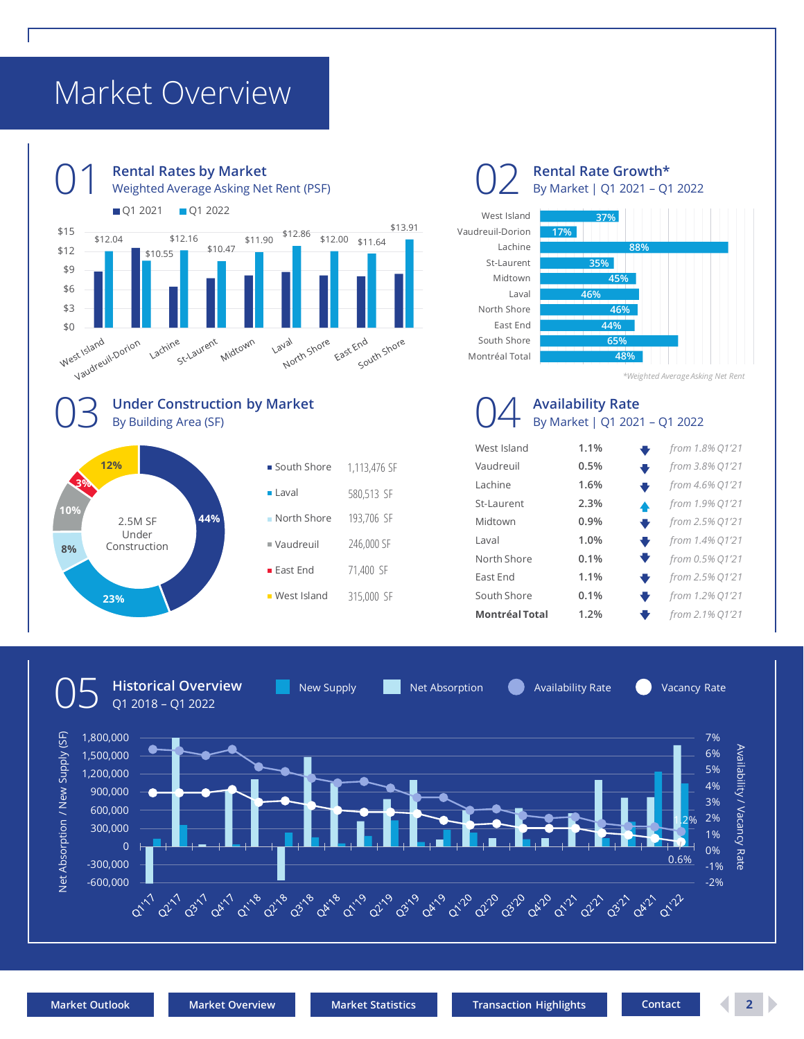# <span id="page-1-0"></span>Market Overview







*\*Weighted Average Asking Net Rent*

### **Availability Rate** By Market | Q1 2021 – Q1 2022

| West Island           | 1.1% | from 1.8% 01'21      |
|-----------------------|------|----------------------|
| Vaudreuil             | 0.5% | from 3.8% Q1'21      |
| Lachine               | 1.6% | from 4.6% Q1'21<br>₩ |
| St-Laurent            | 2.3% | from 1.9% Q1'21<br>▲ |
| Midtown               | 0.9% | from 2.5% Q1'21<br>₩ |
| Laval                 | 1.0% | from 1.4% Q1'21<br>₩ |
| North Shore           | 0.1% | from 0.5% Q1'21<br>▼ |
| <b>Fast Fnd</b>       | 1.1% | from 2.5% Q1'21<br>₩ |
| South Shore           | 0.1% | from 1.2% Q1'21      |
| <b>Montréal Total</b> | 1.2% | from 2.1% 01'21      |
|                       |      |                      |

**Historical Overview**

**East Fnd** 

**West Island** 

New Supply **Net Absorption Computer** Availability Rate **Network** Availability Rate

71,400 SF

315,000 SF



**23%**

**8%**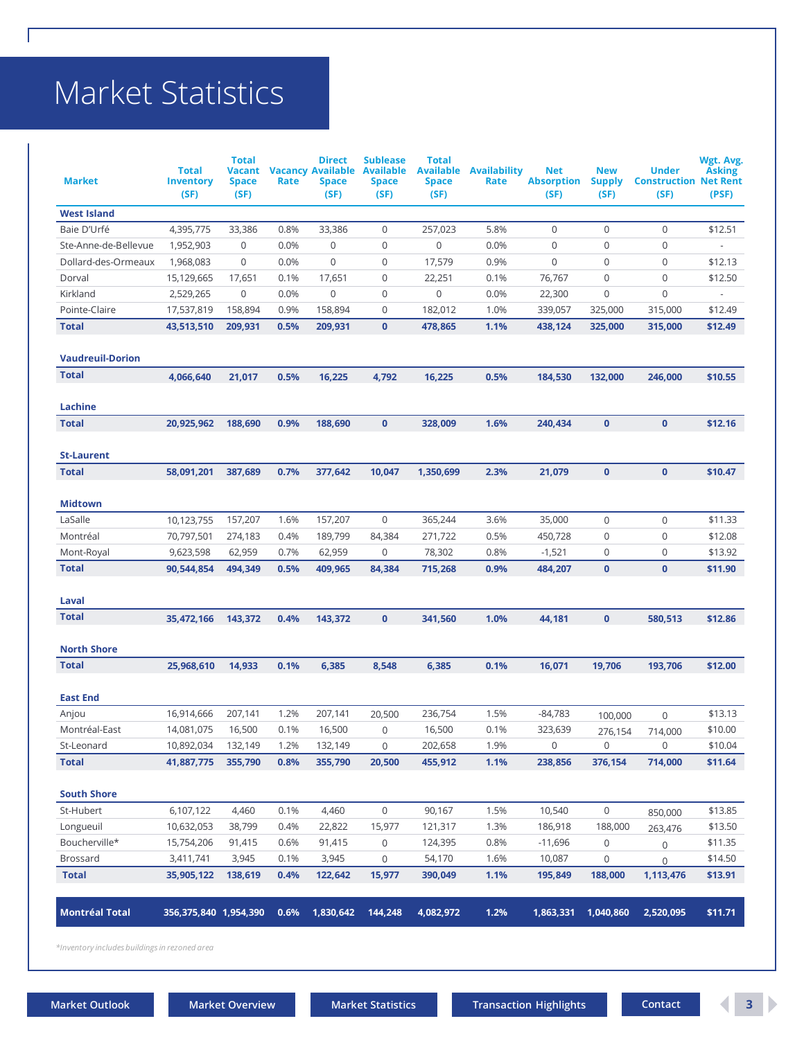# <span id="page-2-0"></span>Market Statistics

| <b>Market</b>           | <b>Total</b><br><b>Inventory</b><br>(SF) | <b>Total</b><br><b>Vacant</b><br><b>Space</b><br>(SF) | Rate | <b>Direct</b><br><b>Vacancy Available</b><br>Space<br>(SF) | <b>Sublease</b><br><b>Available</b><br>Space<br>(SF) | <b>Total</b><br><b>Available</b><br><b>Space</b><br>(SF) | <b>Availability</b><br>Rate | <b>Net</b><br><b>Absorption</b><br>(SF) | <b>New</b><br><b>Supply</b><br>(SF) | <b>Under</b><br><b>Construction Net Rent</b><br>(SF) | Wgt. Avg.<br><b>Asking</b><br>(PSF) |
|-------------------------|------------------------------------------|-------------------------------------------------------|------|------------------------------------------------------------|------------------------------------------------------|----------------------------------------------------------|-----------------------------|-----------------------------------------|-------------------------------------|------------------------------------------------------|-------------------------------------|
| <b>West Island</b>      |                                          |                                                       |      |                                                            |                                                      |                                                          |                             |                                         |                                     |                                                      |                                     |
| Baie D'Urfé             | 4,395,775                                | 33,386                                                | 0.8% | 33,386                                                     | $\mathbf 0$                                          | 257,023                                                  | 5.8%                        | $\mathbf 0$                             | $\mathbf 0$                         | $\mathbf 0$                                          | \$12.51                             |
| Ste-Anne-de-Bellevue    | 1,952,903                                | 0                                                     | 0.0% | 0                                                          | $\mathbf 0$                                          | $\mathsf 0$                                              | 0.0%                        | 0                                       | $\mathbf 0$                         | $\mathbf 0$                                          |                                     |
| Dollard-des-Ormeaux     | 1,968,083                                | 0                                                     | 0.0% | $\mathbf 0$                                                | 0                                                    | 17,579                                                   | 0.9%                        | 0                                       | $\mathbf 0$                         | $\mathbf 0$                                          | \$12.13                             |
| Dorval                  | 15,129,665                               | 17,651                                                | 0.1% | 17,651                                                     | 0                                                    | 22,251                                                   | 0.1%                        | 76,767                                  | $\mathbf 0$                         | $\mathbf 0$                                          | \$12.50                             |
| Kirkland                | 2,529,265                                | 0                                                     | 0.0% | 0                                                          | 0                                                    | $\mathsf 0$                                              | 0.0%                        | 22,300                                  | $\mathbf 0$                         | $\mathbf 0$                                          | $\sim$                              |
| Pointe-Claire           | 17,537,819                               | 158,894                                               | 0.9% | 158,894                                                    | 0                                                    | 182,012                                                  | 1.0%                        | 339,057                                 | 325,000                             | 315,000                                              | \$12.49                             |
| <b>Total</b>            | 43,513,510                               | 209,931                                               | 0.5% | 209,931                                                    | $\mathbf{0}$                                         | 478,865                                                  | 1.1%                        | 438,124                                 | 325,000                             | 315,000                                              | \$12.49                             |
| <b>Vaudreuil-Dorion</b> |                                          |                                                       |      |                                                            |                                                      |                                                          |                             |                                         |                                     |                                                      |                                     |
| <b>Total</b>            | 4,066,640                                | 21,017                                                | 0.5% | 16,225                                                     | 4,792                                                | 16,225                                                   | 0.5%                        | 184,530                                 | 132,000                             | 246,000                                              | \$10.55                             |
| Lachine                 |                                          |                                                       |      |                                                            |                                                      |                                                          |                             |                                         |                                     |                                                      |                                     |
| <b>Total</b>            | 20,925,962                               | 188.690                                               | 0.9% | 188,690                                                    | $\mathbf{0}$                                         | 328,009                                                  | 1.6%                        | 240,434                                 | $\mathbf{0}$                        | $\mathbf{0}$                                         | \$12.16                             |
| <b>St-Laurent</b>       |                                          |                                                       |      |                                                            |                                                      |                                                          |                             |                                         |                                     |                                                      |                                     |
| <b>Total</b>            | 58,091,201                               | 387,689                                               | 0.7% | 377,642                                                    | 10,047                                               | 1,350,699                                                | 2.3%                        | 21.079                                  | $\mathbf{0}$                        | $\mathbf{0}$                                         | \$10.47                             |
| <b>Midtown</b>          |                                          |                                                       |      |                                                            |                                                      |                                                          |                             |                                         |                                     |                                                      |                                     |
| LaSalle                 | 10,123,755                               | 157,207                                               | 1.6% | 157,207                                                    | $\mathbf 0$                                          | 365,244                                                  | 3.6%                        | 35,000                                  | $\mathbf 0$                         | $\mathbf 0$                                          | \$11.33                             |
| Montréal                | 70,797,501                               | 274,183                                               | 0.4% | 189,799                                                    | 84,384                                               | 271,722                                                  | 0.5%                        | 450,728                                 | $\mathbf 0$                         | $\mathbf 0$                                          | \$12.08                             |
| Mont-Royal              | 9,623,598                                | 62,959                                                | 0.7% | 62,959                                                     | 0                                                    | 78,302                                                   | 0.8%                        | $-1,521$                                | $\mathbf 0$                         | $\mathbf 0$                                          | \$13.92                             |
| <b>Total</b>            | 90,544,854                               | 494,349                                               | 0.5% | 409,965                                                    | 84,384                                               | 715,268                                                  | 0.9%                        | 484,207                                 | $\mathbf{0}$                        | $\mathbf{0}$                                         | \$11.90                             |
| Laval                   |                                          |                                                       |      |                                                            |                                                      |                                                          |                             |                                         |                                     |                                                      |                                     |
| <b>Total</b>            | 35,472,166                               | 143,372                                               | 0.4% | 143,372                                                    | $\bf{0}$                                             | 341,560                                                  | 1.0%                        | 44,181                                  | $\mathbf 0$                         | 580,513                                              | \$12.86                             |
| <b>North Shore</b>      |                                          |                                                       |      |                                                            |                                                      |                                                          |                             |                                         |                                     |                                                      |                                     |
| <b>Total</b>            | 25,968,610                               | 14,933                                                | 0.1% | 6,385                                                      | 8,548                                                | 6,385                                                    | 0.1%                        | 16,071                                  | 19,706                              | 193,706                                              | \$12.00                             |
|                         |                                          |                                                       |      |                                                            |                                                      |                                                          |                             |                                         |                                     |                                                      |                                     |
| <b>East End</b>         | 16,914,666                               | 207,141                                               | 1.2% | 207,141                                                    |                                                      | 236,754                                                  | 1.5%                        | $-84,783$                               |                                     |                                                      | \$13.13                             |
| Anjou<br>Montréal-East  | 14,081,075                               | 16,500                                                | 0.1% | 16,500                                                     | 20,500<br>$\mathbf 0$                                | 16,500                                                   | 0.1%                        | 323,639                                 | 100,000                             | $\mathbf 0$                                          | \$10.00                             |
| St-Leonard              | 10,892,034                               | 132,149                                               | 1.2% | 132,149                                                    | $\mathbf 0$                                          | 202,658                                                  | 1.9%                        | 0                                       | 276,154<br>$\mathsf{O}\xspace$      | 714,000<br>$\mathsf{O}\xspace$                       | \$10.04                             |
| <b>Total</b>            | 41,887,775                               | 355,790                                               | 0.8% | 355,790                                                    | 20,500                                               | 455,912                                                  | 1.1%                        | 238,856                                 | 376,154                             | 714,000                                              | \$11.64                             |
| <b>South Shore</b>      |                                          |                                                       |      |                                                            |                                                      |                                                          |                             |                                         |                                     |                                                      |                                     |
| St-Hubert               | 6,107,122                                | 4,460                                                 | 0.1% | 4,460                                                      | $\mathsf{O}\xspace$                                  | 90,167                                                   | 1.5%                        | 10,540                                  | $\mathsf{O}\xspace$                 |                                                      | \$13.85                             |
| Longueuil               | 10,632,053                               | 38,799                                                | 0.4% | 22,822                                                     | 15,977                                               | 121,317                                                  | 1.3%                        | 186,918                                 | 188,000                             | 850,000                                              | \$13.50                             |
| Boucherville*           | 15,754,206                               | 91,415                                                | 0.6% | 91,415                                                     | 0                                                    | 124,395                                                  | 0.8%                        | -11,696                                 | $\mathbf 0$                         | 263,476                                              | \$11.35                             |
| <b>Brossard</b>         | 3,411,741                                | 3,945                                                 | 0.1% | 3,945                                                      | $\mathsf{O}\xspace$                                  | 54,170                                                   | 1.6%                        | 10,087                                  | $\mathbf 0$                         | $\mathbf 0$<br>$\mathbf 0$                           | \$14.50                             |
| <b>Total</b>            | 35,905,122                               | 138,619                                               | 0.4% | 122,642                                                    | 15,977                                               | 390,049                                                  | 1.1%                        | 195,849                                 | 188,000                             | 1,113,476                                            | \$13.91                             |
| <b>Montréal Total</b>   | 356,375,840 1,954,390                    |                                                       | 0.6% | 1,830,642                                                  | 144,248                                              | 4,082,972                                                | 1.2%                        | 1,863,331                               | 1,040,860                           | 2,520,095                                            | \$11.71                             |
|                         |                                          |                                                       |      |                                                            |                                                      |                                                          |                             |                                         |                                     |                                                      |                                     |

*\*Inventory includes buildings in rezoned area*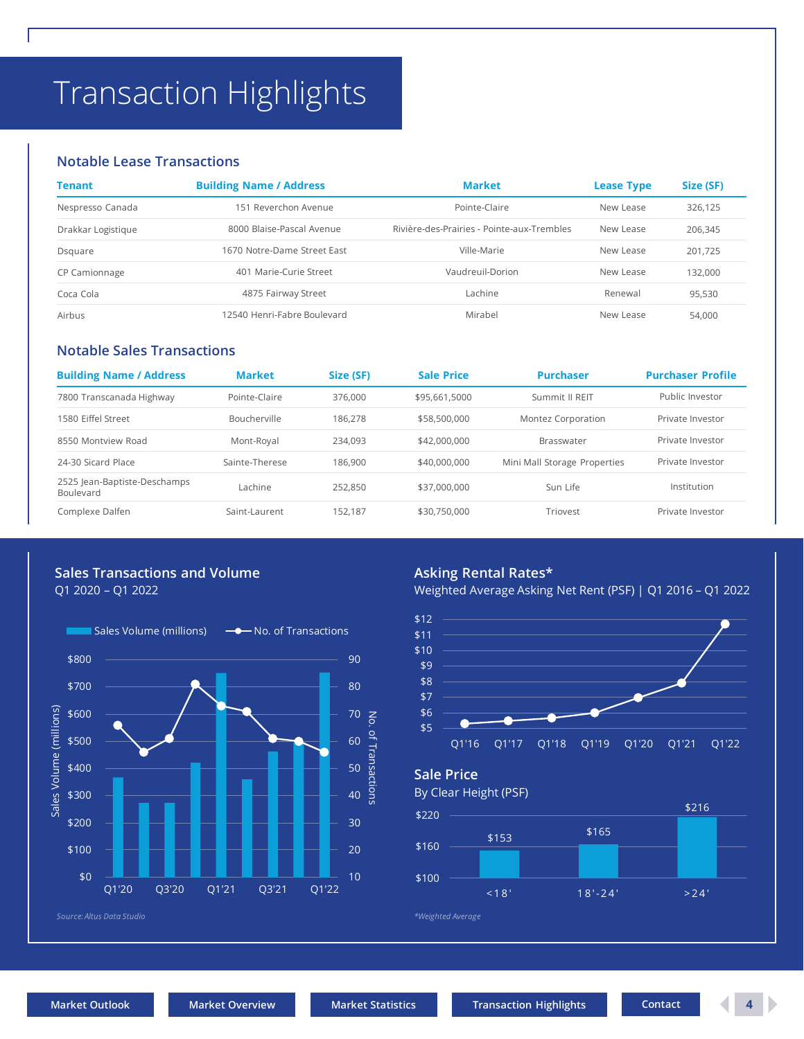# <span id="page-3-0"></span>Transaction Highlights

#### **Notable Lease Transactions**

| Tenant             | <b>Building Name / Address</b> | <b>Market</b>                              | <b>Lease Type</b> | Size (SF) |
|--------------------|--------------------------------|--------------------------------------------|-------------------|-----------|
| Nespresso Canada   | 151 Reverchon Avenue           | Pointe-Claire                              | New Lease         | 326,125   |
| Drakkar Logistique | 8000 Blaise-Pascal Avenue      | Rivière-des-Prairies - Pointe-aux-Trembles | New Lease         | 206,345   |
| Dsquare            | 1670 Notre-Dame Street East    | Ville-Marie                                | New Lease         | 201,725   |
| CP Camionnage      | 401 Marie-Curie Street         | Vaudreuil-Dorion                           | New Lease         | 132.000   |
| Coca Cola          | 4875 Fairway Street            | Lachine                                    | Renewal           | 95,530    |
| Airbus             | 12540 Henri-Fabre Boulevard    | Mirabel                                    | New Lease         | 54,000    |

#### **Notable Sales Transactions**

| <b>Building Name / Address</b>            | <b>Market</b>  | Size (SF) | <b>Sale Price</b> | <b>Purchaser</b>             | <b>Purchaser Profile</b> |  |
|-------------------------------------------|----------------|-----------|-------------------|------------------------------|--------------------------|--|
| 7800 Transcanada Highway                  | Pointe-Claire  | 376,000   | \$95,661,5000     | Summit II REIT               | Public Investor          |  |
| 1580 Eiffel Street                        | Boucherville   | 186.278   | \$58,500,000      | Montez Corporation           | Private Investor         |  |
| 8550 Montview Road                        | Mont-Royal     | 234.093   | \$42,000,000      | Brasswater                   | Private Investor         |  |
| 24-30 Sicard Place                        | Sainte-Therese | 186.900   | \$40,000,000      | Mini Mall Storage Properties | Private Investor         |  |
| 2525 Jean-Baptiste-Deschamps<br>Boulevard | Lachine        | 252.850   | \$37,000,000      | Sun Life                     | Institution              |  |
| Complexe Dalfen                           | Saint-Laurent  | 152.187   | \$30,750,000      | Triovest                     | Private Investor         |  |

# **Sales Transactions and Volume**

Q1 2020 – Q1 2022



### **Asking Rental Rates\***

Weighted Average Asking Net Rent (PSF) | Q1 2016 – Q1 2022





By Clear Height (PSF)